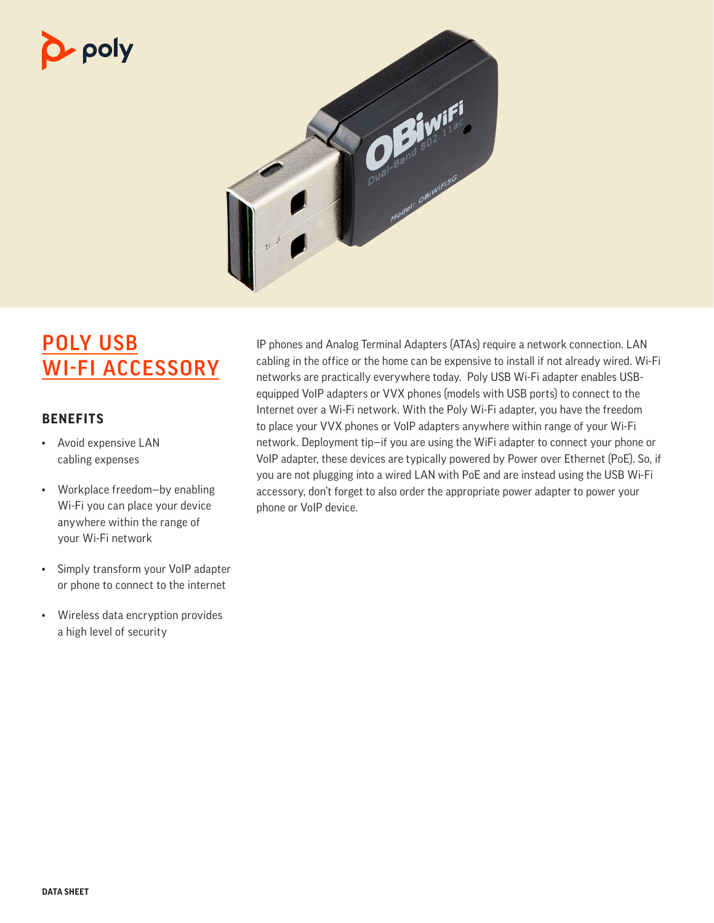# poly



# POLY USB WI-FI ACCESSORY

### **BENEFITS**

- Avoid expensive LAN cabling expenses
- Workplace freedom—by enabling Wi-Fi you can place your device anywhere within the range of your Wi-Fi network
- Simply transform your VoIP adapter or phone to connect to the internet
- Wireless data encryption provides a high level of security

IP phones and Analog Terminal Adapters (ATAs) require a network connection. LAN cabling in the office or the home can be expensive to install if not already wired. Wi-Fi networks are practically everywhere today. Poly USB Wi-Fi adapter enables USBequipped VoIP adapters or VVX phones (models with USB ports) to connect to the Internet over a Wi-Fi network. With the Poly Wi-Fi adapter, you have the freedom to place your VVX phones or VoIP adapters anywhere within range of your Wi-Fi network. Deployment tip—if you are using the WiFi adapter to connect your phone or VoIP adapter, these devices are typically powered by Power over Ethernet (PoE). So, if you are not plugging into a wired LAN with PoE and are instead using the USB Wi-Fi accessory, don't forget to also order the appropriate power adapter to power your phone or VoIP device.